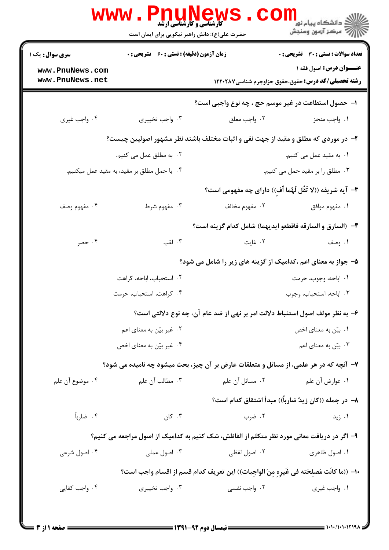|                                                                                            | <b>WWW.FNU</b><br><b>کارشناسی و کارشناسی ارشد</b><br>حضرت علی(ع): دانش راهبر نیکویی برای ایمان است |                                                                                       | ر دانشڪاه پيام نور ■<br>// مرکز آزمون وسنڊش                                                  |  |  |
|--------------------------------------------------------------------------------------------|----------------------------------------------------------------------------------------------------|---------------------------------------------------------------------------------------|----------------------------------------------------------------------------------------------|--|--|
| <b>سری سوال :</b> یک ۱                                                                     | <b>زمان آزمون (دقیقه) : تستی : 60 ٪ تشریحی : 0</b>                                                 |                                                                                       | <b>تعداد سوالات : تستی : 30 ٪ تشریحی : 0</b>                                                 |  |  |
| www.PnuNews.com<br>www.PnuNews.net                                                         |                                                                                                    |                                                                                       | <b>عنـــوان درس:</b> اصول فقه ۱<br><b>رشته تحصیلی/کد درس:</b> حقوق،حقوق جزاوجرم شناسی1۲۲۰۲۸۷ |  |  |
|                                                                                            | ا- حصول استطاعت در غیر موسم حج ، چه نوع واجبی است؟                                                 |                                                                                       |                                                                                              |  |  |
| ۰۴ واجب غيري                                                                               | ۰۳ واجب تخييري                                                                                     | ۰۲ واجب معلق                                                                          | ٠١. واجب منجز                                                                                |  |  |
| ۲- در موردی که مطلق و مقید از جهت نفی و اثبات مختلف باشند نظر مشهور اصولیین چیست؟          |                                                                                                    |                                                                                       |                                                                                              |  |  |
|                                                                                            | ۰۲ به مطلق عمل می کنیم.                                                                            |                                                                                       | ۰۱ به مقید عمل می کنیم.                                                                      |  |  |
|                                                                                            | ۰۴ با حمل مطلق بر مقید، به مقید عمل میکنیم.                                                        |                                                                                       | ۰۳ مطلق را بر مقید حمل می کنیم.                                                              |  |  |
|                                                                                            |                                                                                                    |                                                                                       | ۳- آیه شریفه ((لا تَقُل لَهُما أَفِ)) دارای چه مفهومی است؟                                   |  |  |
| ۰۴ مفهوم وصف                                                                               | ۰۳ مفهوم شرط                                                                                       | ۲. مفهوم مخالف                                                                        | ٠١ مفهوم موافق                                                                               |  |  |
|                                                                                            |                                                                                                    |                                                                                       | ۴- (السارق و السارقه فاقطعو ايديهما) شامل كدام گزينه است؟                                    |  |  |
| ۰۴ حصر                                                                                     | ۰۳ لقب                                                                                             | ۰۲ غایت                                                                               | ۰۱ وصف                                                                                       |  |  |
|                                                                                            | ۵– جواز به معنای اعم ،کدامیک از گزینه های زیر را شامل می شود؟                                      |                                                                                       |                                                                                              |  |  |
|                                                                                            | ۰۲ استحباب، اباحه، کراهت                                                                           |                                                                                       | ٠١. اباحه، وجوب، حرمت                                                                        |  |  |
|                                                                                            | ۰۴ کراهت، استحباب، حرمت                                                                            |                                                                                       | ۰۳ اباحه، استحباب، وجوب                                                                      |  |  |
|                                                                                            |                                                                                                    | ۶– به نظر مولف اصول استنباط دلالت امر بر نهی از ضد عام آن، چه نوع دلالتی است؟         |                                                                                              |  |  |
|                                                                                            | ۰۲ غیر بیّن به معنای اعم                                                                           |                                                                                       | ۰۱ بیّن به معنای اخص                                                                         |  |  |
|                                                                                            | ۰۴ غیر بیّن به معنای اخص                                                                           |                                                                                       | ۰۳ بیّن به معنای اعم                                                                         |  |  |
|                                                                                            |                                                                                                    | ٧- آنچه که در هر علمي، از مسائل و متعلقات عارض بر آن چیز، بحث میشود چه نامیده می شود؟ |                                                                                              |  |  |
| ۰۴ موضوع آن علم                                                                            | ۰۳ مطالب آن علم                                                                                    | ۲. مسائل آن علم                                                                       | ۰۱ عوارض آن علم                                                                              |  |  |
|                                                                                            |                                                                                                    |                                                                                       | ٨− در جمله ((کان زیدٌ ضارباً)) مبدأ اشتقاق کدام است؟                                         |  |  |
| ۰۴ ضارباً                                                                                  | ۰۳ کان                                                                                             | ۰۲ ضرب                                                                                | ۰۱ زید                                                                                       |  |  |
| ۹– اگر در دریافت معانی مورد نظر متکلم از الفاظش، شک کنیم به کدامیک از اصول مراجعه می کنیم؟ |                                                                                                    |                                                                                       |                                                                                              |  |  |
| ۰۴ اصول شرعی                                                                               | ۰۳ اصول عملی                                                                                       | ۰۲ اصول لفظی                                                                          | ۰۱ اصول ظاهری                                                                                |  |  |
| ∙ا− ((ما كانَت مَصلحَته في غَيرِه مِنَ الواجبات)) اين تعريف كدام قسم از اقسام واجب است؟    |                                                                                                    |                                                                                       |                                                                                              |  |  |
| ۰۴ واجب کفایی                                                                              | ۰۳ واجب تخييري                                                                                     | ۰۲ واجب نفسی                                                                          | ۰۱ واجب غیری                                                                                 |  |  |
|                                                                                            |                                                                                                    |                                                                                       |                                                                                              |  |  |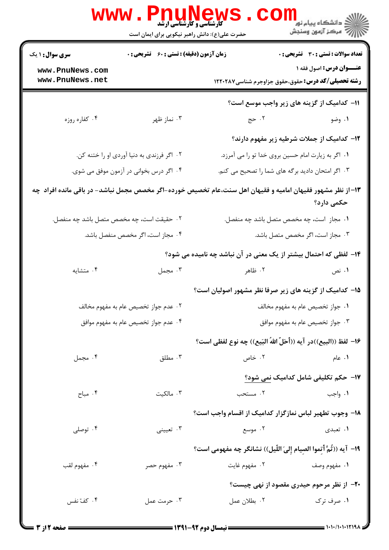|                                            | WWW.Pnunew<br>حضرت علی(ع): دانش راهبر نیکویی برای ایمان است |                                                                                                            | ر دانشڪاه پيام نور <mark>−</mark><br>ا∛ مرکز آزمون وسنڊش |  |
|--------------------------------------------|-------------------------------------------------------------|------------------------------------------------------------------------------------------------------------|----------------------------------------------------------|--|
| <b>سری سوال : ۱ یک</b>                     | زمان آزمون (دقیقه) : تستی : 60 ٪ تشریحی : 0                 |                                                                                                            | <b>تعداد سوالات : تستی : 30 ٪ تشریحی : 0</b>             |  |
| www.PnuNews.com<br>www.PnuNews.net         |                                                             | <b>رشته تحصیلی/کد درس:</b> حقوق،حقوق جزاوجرم شناسی1۲۲۰۲۸۷                                                  | عنــوان درس: اصول فقه ۱                                  |  |
|                                            |                                                             |                                                                                                            | 11- کدامیک از گزینه های زیر واجب موسع است؟               |  |
| ۰۴ کفاره روزه                              | ۰۳ نماز ظهر                                                 | 7.25                                                                                                       | ۰۱ وضو                                                   |  |
|                                            |                                                             |                                                                                                            | ۱۲– کدامیک از جملات شرطیه زیر مفهوم دارند؟               |  |
| ۰۲ اگر فرزندی به دنیا آوردی او را ختنه کن. |                                                             |                                                                                                            | ۰۱ اگر به زیارت امام حسین بروی خدا تو را می آمرزد.       |  |
| ۰۴ اگر درس بخوانی در آزمون موفق می شوی.    |                                                             | ۰۳ اگر امتحان دادید برگه های شما را تصحیح می کنم.                                                          |                                                          |  |
|                                            |                                                             | ۱۳–از نظر مشهور فقیهان امامیه و فقیهان اهل سنت،عام تخصیص خورده-اگر مخصص مجمل نباشد- در باقی مانده افراد چه | حکمی دارد؟                                               |  |
| ۰۲ حقیقت است، چه مخصص متصل باشد چه منفصل.  |                                                             | ٠١ مجاز است، چه مخصص متصل باشد چه منفصل.                                                                   |                                                          |  |
|                                            | ۰۴ مجاز است، اگر مخصص منفصل باشد.                           | ۰۳ مجاز است، اگر مخصص متصل باشد.                                                                           |                                                          |  |
|                                            |                                                             | ۱۴- لفظی که احتمال بیشتر از یک معنی در آن نباشد چه نامیده می شود؟                                          |                                                          |  |
| ۰۴ متشايه                                  | ۰۳ مجمل                                                     | ۲. ظاهر                                                                                                    | ۰۱ نص                                                    |  |
|                                            |                                                             | ۱۵– کدامیک از گزینه های زیر صرفا نظر مشهور اصولیان است؟                                                    |                                                          |  |
| ۰۲ عدم جواز تخصیص عام به مفهوم مخالف       |                                                             | ٠١. جواز تخصيص عام به مفهوم مخالف                                                                          |                                                          |  |
| ۰۴ عدم جواز تخصیص عام به مفهوم موافق       |                                                             | ۰۳ جواز تخصیص عام به مفهوم موافق                                                                           |                                                          |  |
|                                            |                                                             | ١۶– لفظ ((البيع))در آيه ((أَحَلّ اللهُ البَيع)) چه نوع لفظي است؟                                           |                                                          |  |
| ۰۴ مجمل                                    | ۰۳ مطلق                                                     | ۰۲ خاص                                                                                                     | ۰۱ عام                                                   |  |
|                                            |                                                             |                                                                                                            | 17–  حکم تکلیفی شامل کدامیک نمی شود؟                     |  |
| ۰۴ مباح                                    | ۰۳ مالکیت                                                   | ۰۲ مستحب                                                                                                   | ۰۱ واجب                                                  |  |
|                                            |                                                             | ۱۸– وجوب تطهیر لباس نمازگزار کدامیک از اقسام واجب است؟                                                     |                                                          |  |
| ۰۴ توصلی                                   | ۰۳ تعیینی                                                   | ۰۲ موسع                                                                                                    | ۰۱ تعبدی                                                 |  |
|                                            |                                                             | ١٩- آيه ((ثُمَّ أتموا الصيام إلىَ اللَّيل)) نشانگر چه مفهومي است؟                                          |                                                          |  |
| ۰۴ مفهوم لقب                               | ۰۳ مفهوم حصر                                                | ۰۲ مفهوم غايت                                                                                              | ۰۱ مفهوم وصف                                             |  |
|                                            |                                                             |                                                                                                            | <b>۲۰</b> - از نظر مرحوم حیدری مقصود از نهی چیست؟        |  |
| ۰۴ کفّ نفس                                 | ۰۳ حرمت عمل                                                 | ٠٢ بطلان عمل                                                                                               | ۰۱ صرف ترک                                               |  |
|                                            |                                                             |                                                                                                            |                                                          |  |